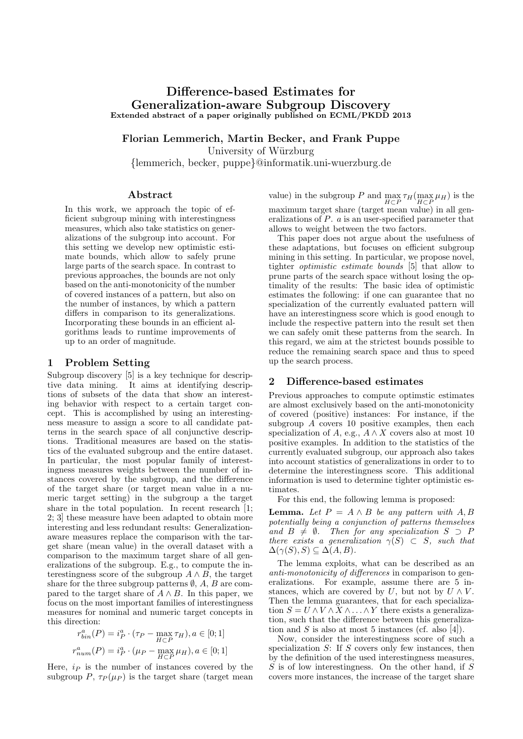# Difference-based Estimates for Generalization-aware Subgroup Discovery Extended abstract of a paper originally published on ECML/PKDD 2013

Florian Lemmerich, Martin Becker, and Frank Puppe University of Würzburg

{lemmerich, becker, puppe}@informatik.uni-wuerzburg.de

# Abstract

In this work, we approach the topic of efficient subgroup mining with interestingness measures, which also take statistics on generalizations of the subgroup into account. For this setting we develop new optimistic estimate bounds, which allow to safely prune large parts of the search space. In contrast to previous approaches, the bounds are not only based on the anti-monotonicity of the number of covered instances of a pattern, but also on the number of instances, by which a pattern differs in comparison to its generalizations. Incorporating these bounds in an efficient algorithms leads to runtime improvements of up to an order of magnitude.

## 1 Problem Setting

Subgroup discovery [5] is a key technique for descriptive data mining. It aims at identifying descriptions of subsets of the data that show an interesting behavior with respect to a certain target concept. This is accomplished by using an interestingness measure to assign a score to all candidate patterns in the search space of all conjunctive descriptions. Traditional measures are based on the statistics of the evaluated subgroup and the entire dataset. In particular, the most popular family of interestingness measures weights between the number of instances covered by the subgroup, and the difference of the target share (or target mean value in a numeric target setting) in the subgroup a the target share in the total population. In recent research [1; 2; 3] these measure have been adapted to obtain more interesting and less redundant results: Generalizationaware measures replace the comparison with the target share (mean value) in the overall dataset with a comparison to the maximum target share of all generalizations of the subgroup. E.g., to compute the interestingness score of the subgroup  $A \wedge B$ , the target share for the three subgroup patterns  $\emptyset$ , A, B are compared to the target share of  $A \wedge B$ . In this paper, we focus on the most important families of interestingness measures for nominal and numeric target concepts in this direction:

$$
r_{bin}^{a}(P) = i_{P}^{a} \cdot (\tau_{P} - \max_{H \subset P} \tau_{H}), a \in [0; 1]
$$

$$
r_{num}^{a}(P) = i_{P}^{a} \cdot (\mu_{P} - \max_{H \subset P} \mu_{H}), a \in [0; 1]
$$

Here,  $i<sub>P</sub>$  is the number of instances covered by the subgroup P,  $\tau_P(\mu_P)$  is the target share (target mean

value) in the subgroup P and  $\max_{H \subset P} \tau_H(\max_{H \subset P} \mu_H)$  is the maximum target share (target mean value) in all generalizations of  $\tilde{P}$ . a is an user-specified parameter that allows to weight between the two factors.

This paper does not argue about the usefulness of these adaptations, but focuses on efficient subgroup mining in this setting. In particular, we propose novel, tighter optimistic estimate bounds [5] that allow to prune parts of the search space without losing the optimality of the results: The basic idea of optimistic estimates the following: if one can guarantee that no specialization of the currently evaluated pattern will have an interestingness score which is good enough to include the respective pattern into the result set then we can safely omit these patterns from the search. In this regard, we aim at the strictest bounds possible to reduce the remaining search space and thus to speed up the search process.

#### 2 Difference-based estimates

Previous approaches to compute optimstic estimates are almost exclusively based on the anti-monotonicity of covered (positive) instances: For instance, if the subgroup A covers 10 positive examples, then each specialization of A, e.g.,  $A \wedge X$  covers also at most 10 positive examples. In addition to the statistics of the currently evaluated subgroup, our approach also takes into account statistics of generalizations in order to to determine the interestingness score. This additional information is used to determine tighter optimistic estimates.

For this end, the following lemma is proposed:

**Lemma.** Let  $P = A \wedge B$  be any pattern with  $A, B$ potentially being a conjunction of patterns themselves and  $B \neq \emptyset$ . Then for any specialization  $S \supset P$ there exists a generalization  $\gamma(S) \subset S$ , such that  $\Delta(\gamma(S), S) \subseteq \Delta(A, B).$ 

The lemma exploits, what can be described as an anti-monotonicity of differences in comparison to generalizations. For example, assume there are 5 instances, which are covered by U, but not by  $U \wedge V$ . Then the lemma guarantees, that for each specialization  $S = U \wedge V \wedge X \wedge \ldots \wedge Y$  there exists a generalization, such that the difference between this generalization and S is also at most 5 instances (cf. also [4]).

Now, consider the interestingness score of such a specialization  $S$ : If  $S$  covers only few instances, then by the definition of the used interestingness measures,  $S$  is of low interestingness. On the other hand, if  $S$ covers more instances, the increase of the target share